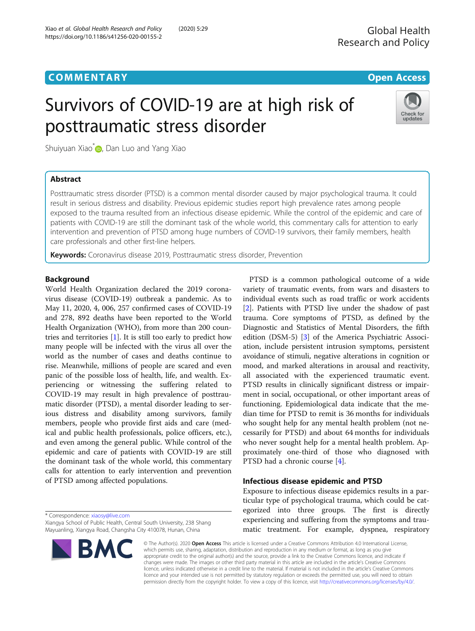# **COMMENTARY COMMENTARY COMMENTARY**

# Survivors of COVID-19 are at high risk of posttraumatic stress disorder



Shuiyuan Xiao<sup>[\\*](http://orcid.org/0000-0002-2046-5564)</sup> , Dan Luo and Yang Xiao

# Abstract

Posttraumatic stress disorder (PTSD) is a common mental disorder caused by major psychological trauma. It could result in serious distress and disability. Previous epidemic studies report high prevalence rates among people exposed to the trauma resulted from an infectious disease epidemic. While the control of the epidemic and care of patients with COVID-19 are still the dominant task of the whole world, this commentary calls for attention to early intervention and prevention of PTSD among huge numbers of COVID-19 survivors, their family members, health care professionals and other first-line helpers.

Keywords: Coronavirus disease 2019, Posttraumatic stress disorder, Prevention

# **Background**

World Health Organization declared the 2019 coronavirus disease (COVID-19) outbreak a pandemic. As to May 11, 2020, 4, 006, 257 confirmed cases of COVID-19 and 278, 892 deaths have been reported to the World Health Organization (WHO), from more than 200 countries and territories [[1\]](#page-2-0). It is still too early to predict how many people will be infected with the virus all over the world as the number of cases and deaths continue to rise. Meanwhile, millions of people are scared and even panic of the possible loss of health, life, and wealth. Experiencing or witnessing the suffering related to COVID-19 may result in high prevalence of posttraumatic disorder (PTSD), a mental disorder leading to serious distress and disability among survivors, family members, people who provide first aids and care (medical and public health professionals, police officers, etc.), and even among the general public. While control of the epidemic and care of patients with COVID-19 are still the dominant task of the whole world, this commentary calls for attention to early intervention and prevention of PTSD among affected populations.

variety of traumatic events, from wars and disasters to individual events such as road traffic or work accidents [[2\]](#page-2-0). Patients with PTSD live under the shadow of past trauma. Core symptoms of PTSD, as defined by the Diagnostic and Statistics of Mental Disorders, the fifth edition (DSM-5) [[3](#page-2-0)] of the America Psychiatric Association, include persistent intrusion symptoms, persistent avoidance of stimuli, negative alterations in cognition or mood, and marked alterations in arousal and reactivity, all associated with the experienced traumatic event. PTSD results in clinically significant distress or impairment in social, occupational, or other important areas of functioning. Epidemiological data indicate that the median time for PTSD to remit is 36 months for individuals who sought help for any mental health problem (not necessarily for PTSD) and about 64 months for individuals who never sought help for a mental health problem. Approximately one-third of those who diagnosed with PTSD had a chronic course [[4\]](#page-2-0).

PTSD is a common pathological outcome of a wide

# Infectious disease epidemic and PTSD

Exposure to infectious disease epidemics results in a particular type of psychological trauma, which could be categorized into three groups. The first is directly experiencing and suffering from the symptoms and traumatic treatment. For example, dyspnea, respiratory

\* Correspondence: [xiaosy@live.com](mailto:xiaosy@live.com)

Xiangya School of Public Health, Central South University, 238 Shang Mayuanling, Xiangya Road, Changsha City 410078, Hunan, China



© The Author(s). 2020 Open Access This article is licensed under a Creative Commons Attribution 4.0 International License, which permits use, sharing, adaptation, distribution and reproduction in any medium or format, as long as you give appropriate credit to the original author(s) and the source, provide a link to the Creative Commons licence, and indicate if changes were made. The images or other third party material in this article are included in the article's Creative Commons licence, unless indicated otherwise in a credit line to the material. If material is not included in the article's Creative Commons licence and your intended use is not permitted by statutory regulation or exceeds the permitted use, you will need to obtain permission directly from the copyright holder. To view a copy of this licence, visit [http://creativecommons.org/licenses/by/4.0/.](http://creativecommons.org/licenses/by/4.0/)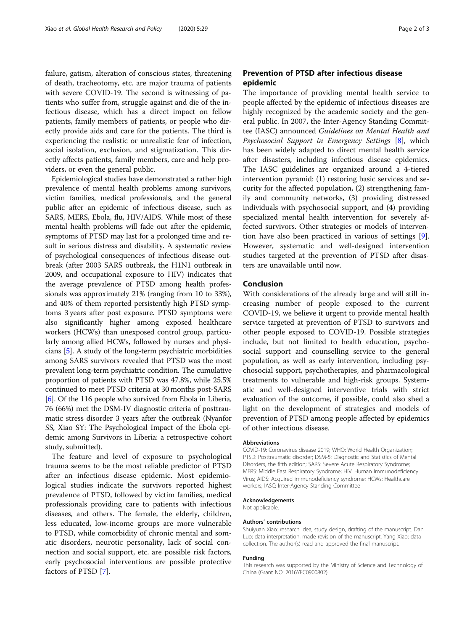failure, gatism, alteration of conscious states, threatening of death, tracheotomy, etc. are major trauma of patients with severe COVID-19. The second is witnessing of patients who suffer from, struggle against and die of the infectious disease, which has a direct impact on fellow patients, family members of patients, or people who directly provide aids and care for the patients. The third is experiencing the realistic or unrealistic fear of infection, social isolation, exclusion, and stigmatization. This directly affects patients, family members, care and help providers, or even the general public.

Epidemiological studies have demonstrated a rather high prevalence of mental health problems among survivors, victim families, medical professionals, and the general public after an epidemic of infectious disease, such as SARS, MERS, Ebola, flu, HIV/AIDS. While most of these mental health problems will fade out after the epidemic, symptoms of PTSD may last for a prolonged time and result in serious distress and disability. A systematic review of psychological consequences of infectious disease outbreak (after 2003 SARS outbreak, the H1N1 outbreak in 2009, and occupational exposure to HIV) indicates that the average prevalence of PTSD among health professionals was approximately 21% (ranging from 10 to 33%), and 40% of them reported persistently high PTSD symptoms 3 years after post exposure. PTSD symptoms were also significantly higher among exposed healthcare workers (HCWs) than unexposed control group, particularly among allied HCWs, followed by nurses and physicians [[5\]](#page-2-0). A study of the long-term psychiatric morbidities among SARS survivors revealed that PTSD was the most prevalent long-term psychiatric condition. The cumulative proportion of patients with PTSD was 47.8%, while 25.5% continued to meet PTSD criteria at 30 months post-SARS [[6\]](#page-2-0). Of the 116 people who survived from Ebola in Liberia, 76 (66%) met the DSM-IV diagnostic criteria of posttraumatic stress disorder 3 years after the outbreak (Nyanfor SS, Xiao SY: The Psychological Impact of the Ebola epidemic among Survivors in Liberia: a retrospective cohort study, submitted).

The feature and level of exposure to psychological trauma seems to be the most reliable predictor of PTSD after an infectious disease epidemic. Most epidemiological studies indicate the survivors reported highest prevalence of PTSD, followed by victim families, medical professionals providing care to patients with infectious diseases, and others. The female, the elderly, children, less educated, low-income groups are more vulnerable to PTSD, while comorbidity of chronic mental and somatic disorders, neurotic personality, lack of social connection and social support, etc. are possible risk factors, early psychosocial interventions are possible protective factors of PTSD [\[7](#page-2-0)].

# Prevention of PTSD after infectious disease epidemic

The importance of providing mental health service to people affected by the epidemic of infectious diseases are highly recognized by the academic society and the general public. In 2007, the Inter-Agency Standing Committee (IASC) announced Guidelines on Mental Health and Psychosocial Support in Emergency Settings [[8](#page-2-0)], which has been widely adapted to direct mental health service after disasters, including infectious disease epidemics. The IASC guidelines are organized around a 4-tiered intervention pyramid: (1) restoring basic services and security for the affected population, (2) strengthening family and community networks, (3) providing distressed individuals with psychosocial support, and (4) providing specialized mental health intervention for severely affected survivors. Other strategies or models of intervention have also been practiced in various of settings [\[9](#page-2-0)]. However, systematic and well-designed intervention studies targeted at the prevention of PTSD after disasters are unavailable until now.

# Conclusion

With considerations of the already large and will still increasing number of people exposed to the current COVID-19, we believe it urgent to provide mental health service targeted at prevention of PTSD to survivors and other people exposed to COVID-19. Possible strategies include, but not limited to health education, psychosocial support and counselling service to the general population, as well as early intervention, including psychosocial support, psychotherapies, and pharmacological treatments to vulnerable and high-risk groups. Systematic and well-designed interventive trials with strict evaluation of the outcome, if possible, could also shed a light on the development of strategies and models of prevention of PTSD among people affected by epidemics of other infectious disease.

## Abbreviations

COVID-19: Coronavirus disease 2019; WHO: World Health Organization; PTSD: Posttraumatic disorder; DSM-5: Diagnostic and Statistics of Mental Disorders, the fifth edition; SARS: Severe Acute Respiratory Syndrome; MERS: Middle East Respiratory Syndrome; HIV: Human Immunodeficiency Virus; AIDS: Acquired immunodeficiency syndrome; HCWs: Healthcare workers; IASC: Inter-Agency Standing Committee

## Acknowledgements

Not applicable.

## Authors' contributions

Shuiyuan Xiao: research idea, study design, drafting of the manuscript. Dan Luo: data interpretation, made revision of the manuscript. Yang Xiao: data collection. The author(s) read and approved the final manuscript.

#### Funding

This research was supported by the Ministry of Science and Technology of China (Grant NO: 2016YFC0900802).